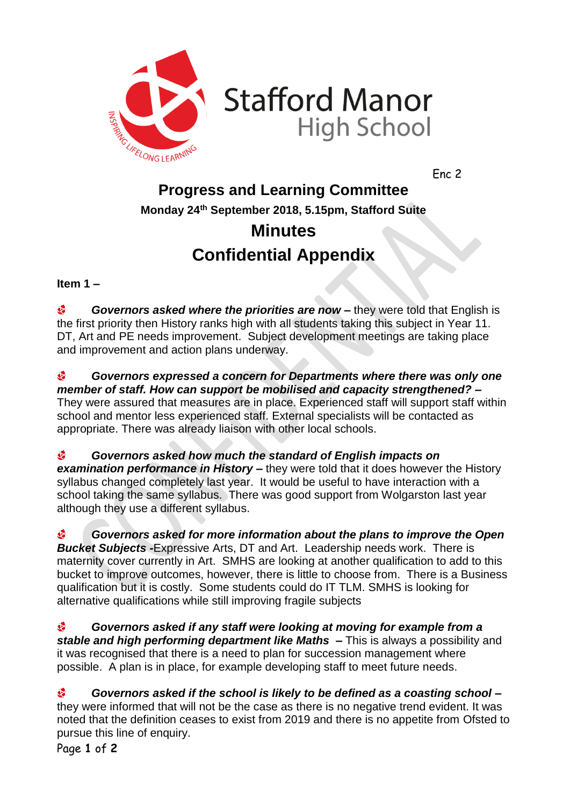

Enc 2

## **Progress and Learning Committee Monday 24th September 2018, 5.15pm, Stafford Suite Minutes**

## **Confidential Appendix**

**Item 1 –**

 $\mathbf{d}$ *Governors asked where the priorities are now –* they were told that English is the first priority then History ranks high with all students taking this subject in Year 11. DT, Art and PE needs improvement. Subject development meetings are taking place and improvement and action plans underway.

 $\mathbf{G}$ *Governors expressed a concern for Departments where there was only one member of staff. How can support be mobilised and capacity strengthened? –* They were assured that measures are in place. Experienced staff will support staff within school and mentor less experienced staff. External specialists will be contacted as appropriate. There was already liaison with other local schools.

 $\mathbf{e}$ *Governors asked how much the standard of English impacts on examination performance in History –* they were told that it does however the History syllabus changed completely last year. It would be useful to have interaction with a school taking the same syllabus. There was good support from Wolgarston last year although they use a different syllabus.

é8 *Governors asked for more information about the plans to improve the Open Bucket Subjects -*Expressive Arts, DT and Art. Leadership needs work. There is maternity cover currently in Art. SMHS are looking at another qualification to add to this bucket to improve outcomes, however, there is little to choose from. There is a Business qualification but it is costly. Some students could do IT TLM. SMHS is looking for alternative qualifications while still improving fragile subjects

 $\hat{\mathbf{c}}$ *Governors asked if any staff were looking at moving for example from a stable and high performing department like Maths –* This is always a possibility and it was recognised that there is a need to plan for succession management where possible. A plan is in place, for example developing staff to meet future needs.

 $\mathbf{c}$ *Governors asked if the school is likely to be defined as a coasting school –* they were informed that will not be the case as there is no negative trend evident. It was noted that the definition ceases to exist from 2019 and there is no appetite from Ofsted to pursue this line of enquiry.

Page **1** of **2**